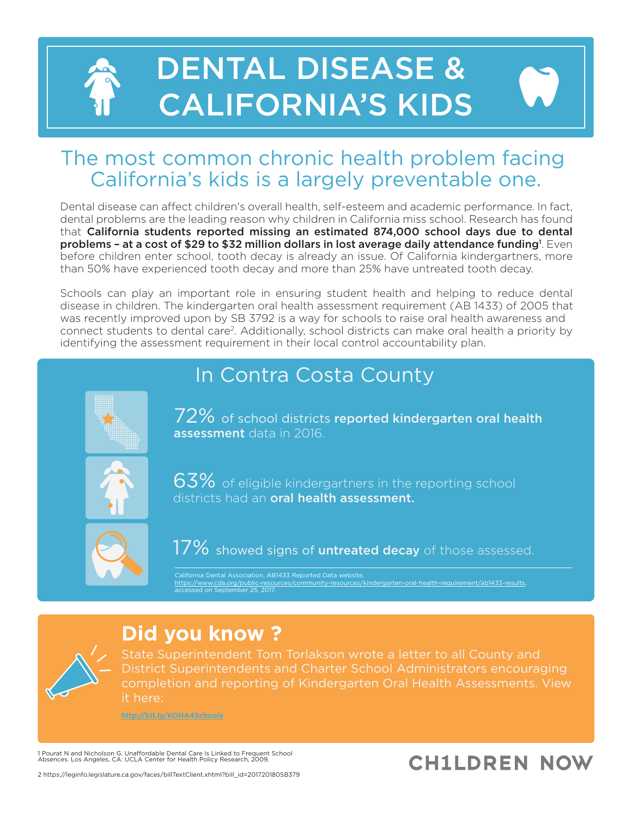# DENTAL DISEASE & CALIFORNIA'S KIDS

## The most common chronic health problem facing California's kids is a largely preventable one.

Dental disease can affect children's overall health, self-esteem and academic performance. In fact, dental problems are the leading reason why children in California miss school. Research has found that California students reported missing an estimated 874,000 school days due to dental problems - at a cost of \$29 to \$32 million dollars in lost average daily attendance funding<sup>1</sup>. Even before children enter school, tooth decay is already an issue. Of California kindergartners, more than 50% have experienced tooth decay and more than 25% have untreated tooth decay.

Schools can play an important role in ensuring student health and helping to reduce dental disease in children. The kindergarten oral health assessment requirement (AB 1433) of 2005 that was recently improved upon by SB 3792 is a way for schools to raise oral health awareness and connect students to dental care<sup>2</sup>. Additionally, school districts can make oral health a priority by identifying the assessment requirement in their local control accountability plan.

# In Contra Costa County



72% of school districts reported kindergarten oral health assessment data in 2016.



63% of eligible kindergartners in the reporting school districts had an **oral health assessment**.



17% showed signs of untreated decay of those assessed.

California Dental Association, AB1433 Reported Data website, https://www.cda.org/public-reso ed on September 25, 2017

## **Did you know ?**

State Superintendent Tom Torlakson wrote a letter to all County and completion and reporting of Kindergarten Oral Health Assessments. View it here:

**http://bit.ly/KOHA4Schools**

1 Pourat N and Nicholson G. Unaffordable Dental Care Is Linked to Frequent School Absences. Los Angeles, CA: UCLA Center for Health Policy Research, 2009.

# **CH1LDREN NOW**

2 https://leginfo.legislature.ca.gov/faces/billTextClient.xhtml?bill\_id=201720180SB379